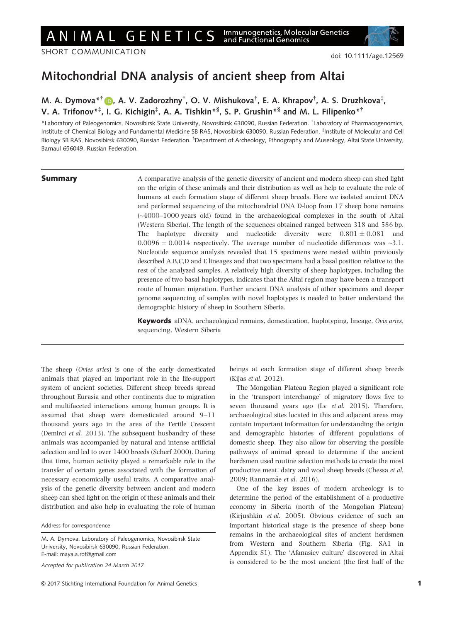SHORT COMMUNICATION

# Mitochondrial DNA analysis of ancient sheep from Altai

## M. A. Dymova\*<sup>†</sup> D, A. V. Zadorozhny<sup>†</sup>, O. V. Mishukova<sup>†</sup>, E. A. Khrapov<sup>†</sup>, A. S. Druzhkova<sup>‡</sup>, V. A. Trifonov\*‡, I. G. Kichigin‡, A. A. Tishkin\*<sup>§</sup>, S. P. Grushin\*<sup>§</sup> and M. L. Filipenko\*<sup>†</sup>

\*Laboratory of Paleogenomics, Novosibirsk State University, Novosibirsk 630090, Russian Federation. † Laboratory of Pharmacogenomics, Institute of Chemical Biology and Fundamental Medicine SB RAS, Novosibirsk 630090, Russian Federation. ‡ Institute of Molecular and Cell Biology SB RAS, Novosibirsk 630090, Russian Federation. <sup>§</sup>Department of Archeology, Ethnography and Museology, Altai State University, Barnaul 656049, Russian Federation.

**Summary** A comparative analysis of the genetic diversity of ancient and modern sheep can shed light on the origin of these animals and their distribution as well as help to evaluate the role of humans at each formation stage of different sheep breeds. Here we isolated ancient DNA and performed sequencing of the mitochondrial DNA D-loop from 17 sheep bone remains (~4000–1000 years old) found in the archaeological complexes in the south of Altai (Western Siberia). The length of the sequences obtained ranged between 318 and 586 bp. The haplotype diversity and nucleotide diversity were  $0.801 \pm 0.081$  and  $0.0096 \pm 0.0014$  respectively. The average number of nucleotide differences was  $\sim 3.1$ . Nucleotide sequence analysis revealed that 15 specimens were nested within previously described A,B,C,D and E lineages and that two specimens had a basal position relative to the rest of the analyzed samples. A relatively high diversity of sheep haplotypes, including the presence of two basal haplotypes, indicates that the Altai region may have been a transport route of human migration. Further ancient DNA analysis of other specimens and deeper genome sequencing of samples with novel haplotypes is needed to better understand the demographic history of sheep in Southern Siberia.

> Keywords aDNA, archaeological remains, domestication, haplotyping, lineage, Ovis aries, sequencing, Western Siberia

The sheep (Ovies aries) is one of the early domesticated animals that played an important role in the life-support system of ancient societies. Different sheep breeds spread throughout Eurasia and other continents due to migration and multifaceted interactions among human groups. It is assumed that sheep were domesticated around 9–11 thousand years ago in the area of the Fertile Crescent (Demirci et al. 2013). The subsequent husbandry of these animals was accompanied by natural and intense artificial selection and led to over 1400 breeds (Scherf 2000). During that time, human activity played a remarkable role in the transfer of certain genes associated with the formation of necessary economically useful traits. A comparative analysis of the genetic diversity between ancient and modern sheep can shed light on the origin of these animals and their distribution and also help in evaluating the role of human

Accepted for publication 24 March 2017

beings at each formation stage of different sheep breeds (Kijas et al. 2012).

The Mongolian Plateau Region played a significant role in the 'transport interchange' of migratory flows five to seven thousand years ago (Lv et al. 2015). Therefore, archaeological sites located in this and adjacent areas may contain important information for understanding the origin and demographic histories of different populations of domestic sheep. They also allow for observing the possible pathways of animal spread to determine if the ancient herdsmen used routine selection methods to create the most productive meat, dairy and wool sheep breeds (Chessa et al. 2009; Rannamäe et al. 2016).

One of the key issues of modern archeology is to determine the period of the establishment of a productive economy in Siberia (north of the Mongolian Plateau) (Kirjushkin et al. 2005). Obvious evidence of such an important historical stage is the presence of sheep bone remains in the archaeological sites of ancient herdsmen from Western and Southern Siberia (Fig. SA1 in Appendix S1). The 'Afanasiev culture' discovered in Altai is considered to be the most ancient (the first half of the

Address for correspondence

M. A. Dymova, Laboratory of Paleogenomics, Novosibirsk State University, Novosibirsk 630090, Russian Federation. E-mail: maya.a.rot@gmail.com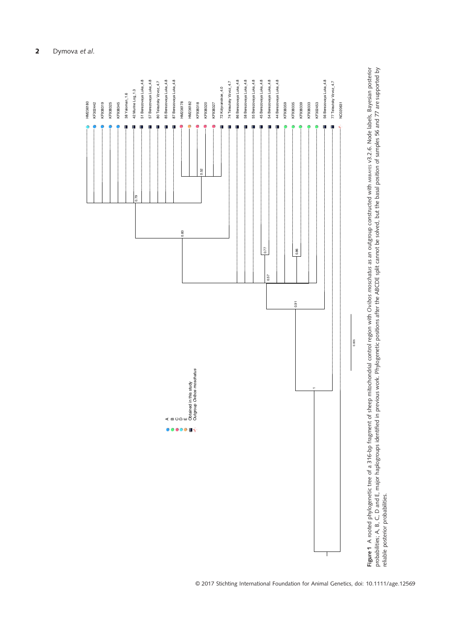

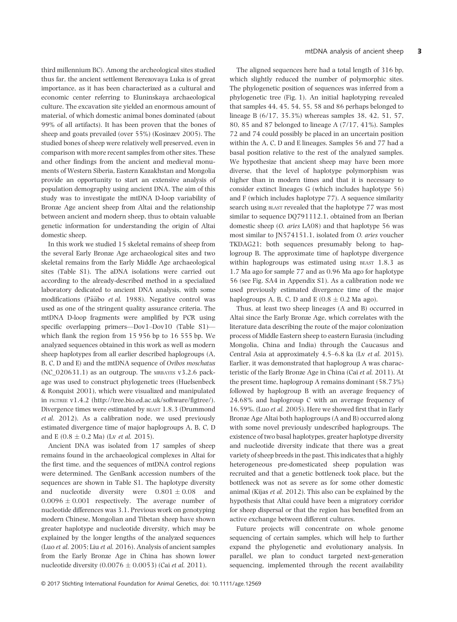third millennium BC). Among the archeological sites studied thus far, the ancient settlement Berezovaya Luka is of great importance, as it has been characterized as a cultural and economic center referring to Eluninskaya archaeological culture. The excavation site yielded an enormous amount of material, of which domestic animal bones dominated (about 99% of all artifacts). It has been proven that the bones of sheep and goats prevailed (over 55%) (Kosinzev 2005). The studied bones of sheep were relatively well preserved, even in comparison with more recent samples from other sites. These and other findings from the ancient and medieval monuments of Western Siberia, Eastern Kazakhstan and Mongolia provide an opportunity to start an extensive analysis of population demography using ancient DNA. The aim of this study was to investigate the mtDNA D-loop variability of Bronze Age ancient sheep from Altai and the relationship between ancient and modern sheep, thus to obtain valuable genetic information for understanding the origin of Altai domestic sheep.

In this work we studied 15 skeletal remains of sheep from the several Early Bronze Age archaeological sites and two skeletal remains from the Early Middle Age archaeological sites (Table S1). The aDNA isolations were carried out according to the already-described method in a specialized laboratory dedicated to ancient DNA analysis, with some modifications (Pääbo et al. 1988). Negative control was used as one of the stringent quality assurance criteria. The mtDNA D-loop fragments were amplified by PCR using specific overlapping primers—Dov1–Dov10 (Table S1) which flank the region from 15 956 bp to 16 555 bp. We analyzed sequences obtained in this work as well as modern sheep haplotypes from all earlier described haplogroups (A, B, C, D and E) and the mtDNA sequence of Ovibos moschatus (NC\_020631.1) as an outgroup. The MRBAYES v3.2.6 package was used to construct phylogenetic trees (Huelsenbeck & Ronquist 2001), which were visualized and manipulated in FIGTREE v1.4.2 [\(http://tree.bio.ed.ac.uk/software/figtree/](http://tree.bio.ed.ac.uk/software/figtree/)). Divergence times were estimated by BEAST 1.8.3 (Drummond et al. 2012). As a calibration node, we used previously estimated divergence time of major haplogroups A, B, C, D and E (0.8  $\pm$  0.2 Ma) (Lv *et al.* 2015).

Ancient DNA was isolated from 17 samples of sheep remains found in the archaeological complexes in Altai for the first time, and the sequences of mtDNA control regions were determined. The GenBank accession numbers of the sequences are shown in Table S1. The haplotype diversity and nucleotide diversity were  $0.801 \pm 0.08$  and  $0.0096 \pm 0.001$  respectively. The average number of nucleotide differences was 3.1. Previous work on genotyping modern Chinese, Mongolian and Tibetan sheep have shown greater haplotype and nucleotide diversity, which may be explained by the longer lengths of the analyzed sequences (Luo et al. 2005; Liu et al. 2016). Analysis of ancient samples from the Early Bronze Age in China has shown lower nucleotide diversity  $(0.0076 \pm 0.0053)$  (Cai et al. 2011).

The aligned sequences here had a total length of 316 bp, which slightly reduced the number of polymorphic sites. The phylogenetic position of sequences was inferred from a phylogenetic tree (Fig. 1). An initial haplotyping revealed that samples 44, 45, 54, 55, 58 and 86 perhaps belonged to lineage B (6/17, 35.3%) whereas samples 38, 42, 51, 57, 80, 85 and 87 belonged to lineage A (7/17, 41%). Samples 72 and 74 could possibly be placed in an uncertain position within the A, C, D and E lineages. Samples 56 and 77 had a basal position relative to the rest of the analyzed samples. We hypothesize that ancient sheep may have been more diverse, that the level of haplotype polymorphism was higher than in modern times and that it is necessary to consider extinct lineages G (which includes haplotype 56) and F (which includes haplotype 77). A sequence similarity search using BLAST revealed that the haplotype 77 was most similar to sequence DQ791112.1, obtained from an Iberian domestic sheep (O. aries LA08) and that haplotype 56 was most similar to JN574151.1, isolated from O. aries voucher TKDAG21; both sequences presumably belong to haplogroup B. The approximate time of haplotype divergence within haplogroups was estimated using BEAST 1.8.3 as 1.7 Ma ago for sample 77 and as 0.96 Ma ago for haplotype 56 (see Fig. SA4 in Appendix S1). As a calibration node we used previously estimated divergence time of the major haplogroups A, B, C, D and E ( $0.8 \pm 0.2$  Ma ago).

Thus, at least two sheep lineages (A and B) occurred in Altai since the Early Bronze Age, which correlates with the literature data describing the route of the major colonization process of Middle Eastern sheep to eastern Eurasia (including Mongolia, China and India) through the Caucasus and Central Asia at approximately 4.5–6.8 ka (Lv et al. 2015). Earlier, it was demonstrated that haplogroup A was characteristic of the Early Bronze Age in China (Cai et al. 2011). At the present time, haplogroup A remains dominant (58.73%) followed by haplogroup B with an average frequency of 24.68% and haplogroup C with an average frequency of 16.59%. (Luo et al. 2005). Here we showed first that in Early Bronze Age Altai both haplogroups (A and B) occurred along with some novel previously undescribed haplogroups. The existence of two basal haplotypes, greater haplotype diversity and nucleotide diversity indicate that there was a great variety of sheep breeds in the past. This indicates that a highly heterogeneous pre-domesticated sheep population was recruited and that a genetic bottleneck took place, but the bottleneck was not as severe as for some other domestic animal (Kijas et al. 2012). This also can be explained by the hypothesis that Altai could have been a migratory corridor for sheep dispersal or that the region has benefited from an active exchange between different cultures.

Future projects will concentrate on whole genome sequencing of certain samples, which will help to further expand the phylogenetic and evolutionary analysis. In parallel, we plan to conduct targeted next-generation sequencing, implemented through the recent availability